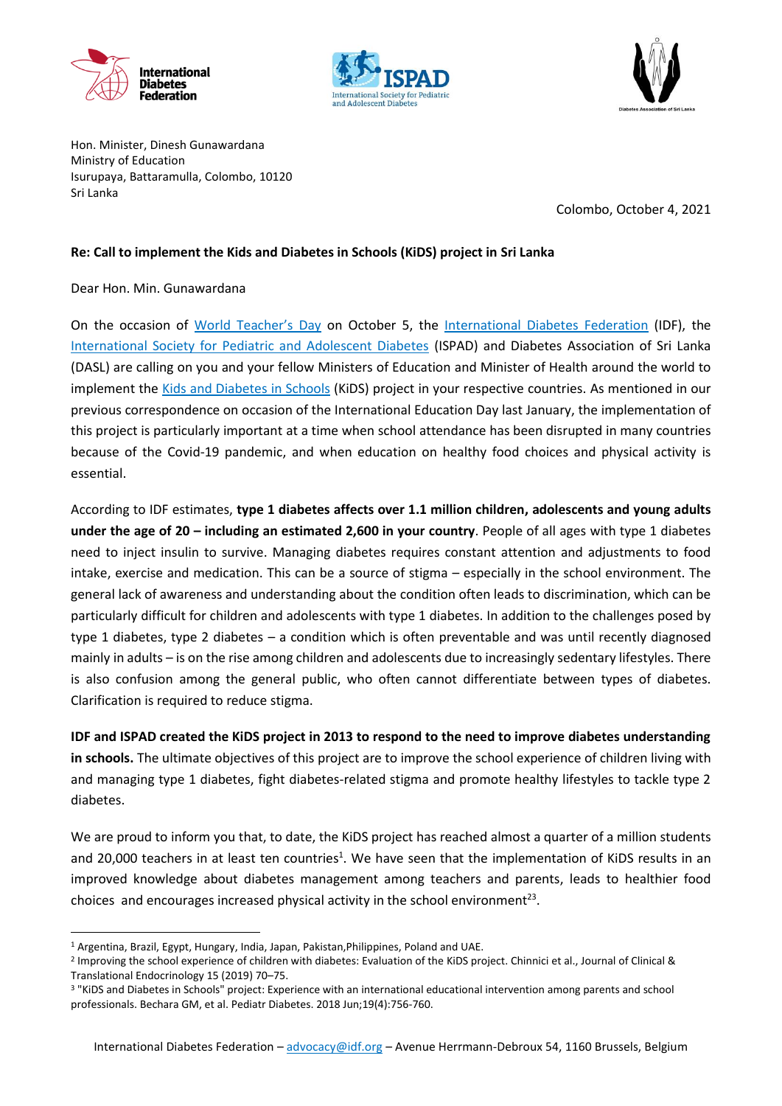





Hon. Minister, Dinesh Gunawardana Ministry of Education Isurupaya, Battaramulla, Colombo, 10120 Sri Lanka

Colombo, October 4, 2021

## **Re: Call to implement the Kids and Diabetes in Schools (KiDS) project in Sri Lanka**

## Dear Hon. Min. Gunawardana

On the occasion of [World Teacher's Day](https://en.unesco.org/commemorations/worldteachersday) on October 5, the [International Diabetes Federation](https://idf.org/) (IDF), the [International Society for Pediatric and Adolescent Diabetes](https://www.ispad.org/) (ISPAD) and Diabetes Association of Sri Lanka (DASL) are calling on you and your fellow Ministers of Education and Minister of Health around the world to implement the [Kids and Diabetes in Schools](https://kids.idf.org/) (KiDS) project in your respective countries. As mentioned in our previous correspondence on occasion of the International Education Day last January, the implementation of this project is particularly important at a time when school attendance has been disrupted in many countries because of the Covid-19 pandemic, and when education on healthy food choices and physical activity is essential.

According to IDF estimates, **type 1 diabetes affects over 1.1 million children, adolescents and young adults under the age of 20 – including an estimated 2,600 in your country**. People of all ages with type 1 diabetes need to inject insulin to survive. Managing diabetes requires constant attention and adjustments to food intake, exercise and medication. This can be a source of stigma – especially in the school environment. The general lack of awareness and understanding about the condition often leads to discrimination, which can be particularly difficult for children and adolescents with type 1 diabetes. In addition to the challenges posed by type 1 diabetes, type 2 diabetes – a condition which is often preventable and was until recently diagnosed mainly in adults – is on the rise among children and adolescents due to increasingly sedentary lifestyles. There is also confusion among the general public, who often cannot differentiate between types of diabetes. Clarification is required to reduce stigma.

**IDF and ISPAD created the KiDS project in 2013 to respond to the need to improve diabetes understanding in schools.** The ultimate objectives of this project are to improve the school experience of children living with and managing type 1 diabetes, fight diabetes-related stigma and promote healthy lifestyles to tackle type 2 diabetes.

We are proud to inform you that, to date, the KiDS project has reached almost a quarter of a million students and 20,000 teachers in at least ten countries<sup>1</sup>. We have seen that the implementation of KiDS results in an improved knowledge about diabetes management among teachers and parents, leads to healthier food choices and encourages increased physical activity in the school environment<sup>23</sup>.

**.** 

<sup>1</sup> Argentina, Brazil, Egypt, Hungary, India, Japan, Pakistan,Philippines, Poland and UAE.

<sup>&</sup>lt;sup>2</sup> Improving the school experience of children with diabetes: Evaluation of the KiDS project. Chinnici et al., Journal of Clinical & Translational Endocrinology 15 (2019) 70–75.

<sup>3</sup> "KiDS and Diabetes in Schools" project: Experience with an international educational intervention among parents and school professionals. Bechara GM, et al. Pediatr Diabetes. 2018 Jun;19(4):756-760.